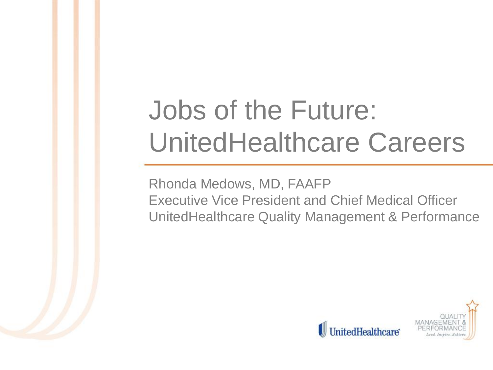# Jobs of the Future: UnitedHealthcare Careers

Rhonda Medows, MD, FAAFP Executive Vice President and Chief Medical Officer UnitedHealthcare Quality Management & Performance

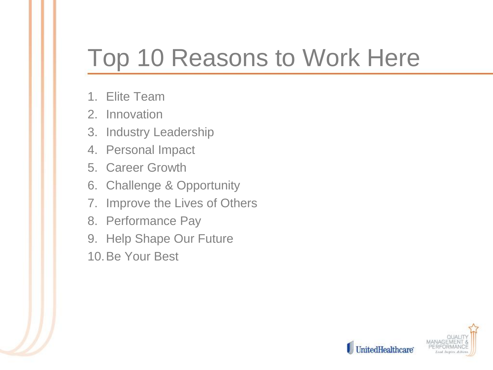### Top 10 Reasons to Work Here

- 1. Elite Team
- 2. Innovation
- 3. Industry Leadership
- 4. Personal Impact
- 5. Career Growth
- 6. Challenge & Opportunity
- 7. Improve the Lives of Others
- 8. Performance Pay
- 9. Help Shape Our Future
- 10.Be Your Best

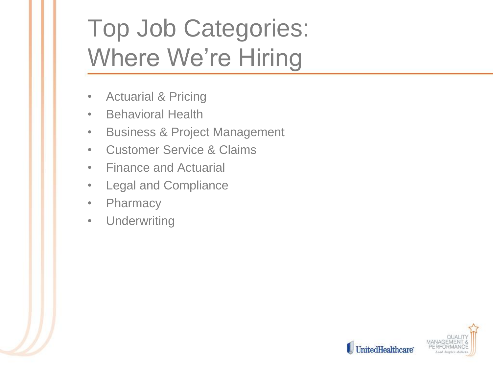# Top Job Categories: Where We're Hiring

- Actuarial & Pricing
- Behavioral Health
- Business & Project Management
- Customer Service & Claims
- Finance and Actuarial
- Legal and Compliance
- Pharmacy
- Underwriting

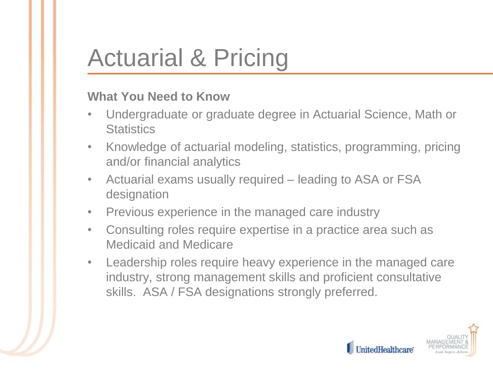# Actuarial & Pricing

- Undergraduate or graduate degree in Actuarial Science, Math or **Statistics**
- Knowledge of actuarial modeling, statistics, programming, pricing and/or financial analytics
- Actuarial exams usually required leading to ASA or FSA designation
- Previous experience in the managed care industry
- Consulting roles require expertise in a practice area such as Medicaid and Medicare
- Leadership roles require heavy experience in the managed care industry, strong management skills and proficient consultative skills. ASA / FSA designations strongly preferred.

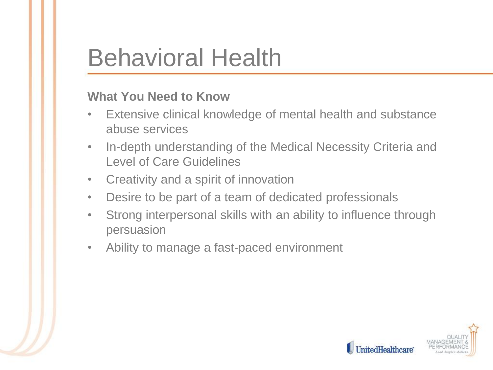### Behavioral Health

- Extensive clinical knowledge of mental health and substance abuse services
- In-depth understanding of the Medical Necessity Criteria and Level of Care Guidelines
- Creativity and a spirit of innovation
- Desire to be part of a team of dedicated professionals
- Strong interpersonal skills with an ability to influence through persuasion
- Ability to manage a fast-paced environment

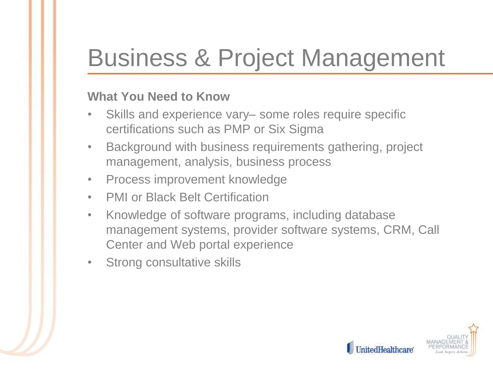## Business & Project Management

- Skills and experience vary– some roles require specific certifications such as PMP or Six Sigma
- Background with business requirements gathering, project management, analysis, business process
- Process improvement knowledge
- PMI or Black Belt Certification
- Knowledge of software programs, including database management systems, provider software systems, CRM, Call Center and Web portal experience
- Strong consultative skills

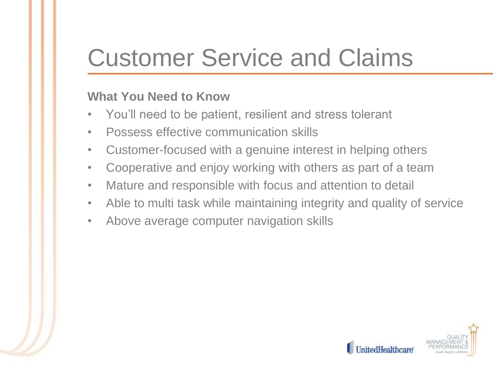## Customer Service and Claims

- You'll need to be patient, resilient and stress tolerant
- Possess effective communication skills
- Customer-focused with a genuine interest in helping others
- Cooperative and enjoy working with others as part of a team
- Mature and responsible with focus and attention to detail
- Able to multi task while maintaining integrity and quality of service
- Above average computer navigation skills

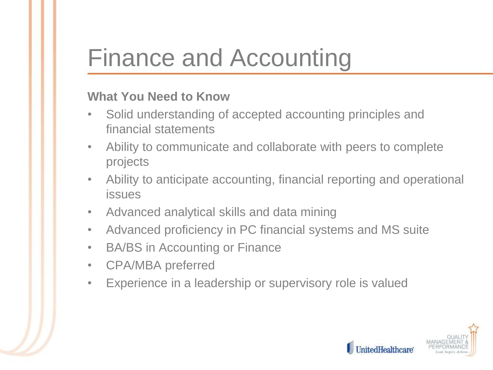### Finance and Accounting

- Solid understanding of accepted accounting principles and financial statements
- Ability to communicate and collaborate with peers to complete projects
- Ability to anticipate accounting, financial reporting and operational issues
- Advanced analytical skills and data mining
- Advanced proficiency in PC financial systems and MS suite
- BA/BS in Accounting or Finance
- CPA/MBA preferred
- Experience in a leadership or supervisory role is valued

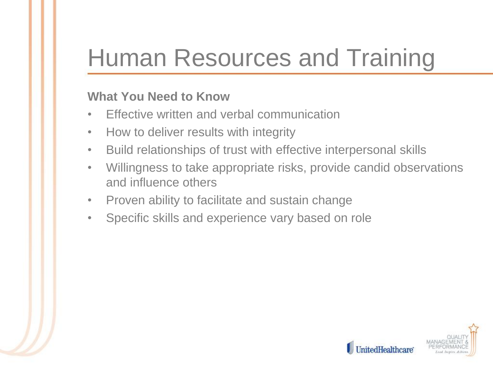## Human Resources and Training

- Effective written and verbal communication
- How to deliver results with integrity
- Build relationships of trust with effective interpersonal skills
- Willingness to take appropriate risks, provide candid observations and influence others
- Proven ability to facilitate and sustain change
- Specific skills and experience vary based on role

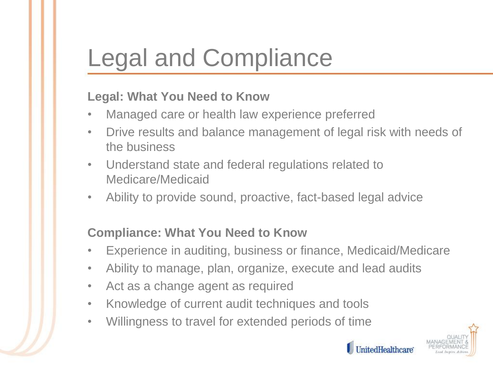# Legal and Compliance

#### **Legal: What You Need to Know**

- Managed care or health law experience preferred
- Drive results and balance management of legal risk with needs of the business
- Understand state and federal regulations related to Medicare/Medicaid
- Ability to provide sound, proactive, fact-based legal advice

#### **Compliance: What You Need to Know**

- Experience in auditing, business or finance, Medicaid/Medicare
- Ability to manage, plan, organize, execute and lead audits
- Act as a change agent as required
- Knowledge of current audit techniques and tools
- Willingness to travel for extended periods of time



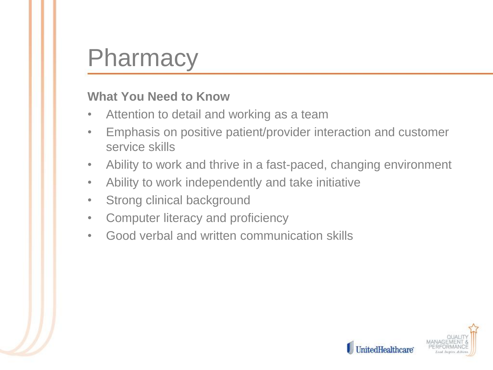### **Pharmacy**

- Attention to detail and working as a team
- Emphasis on positive patient/provider interaction and customer service skills
- Ability to work and thrive in a fast-paced, changing environment
- Ability to work independently and take initiative
- Strong clinical background
- Computer literacy and proficiency
- Good verbal and written communication skills

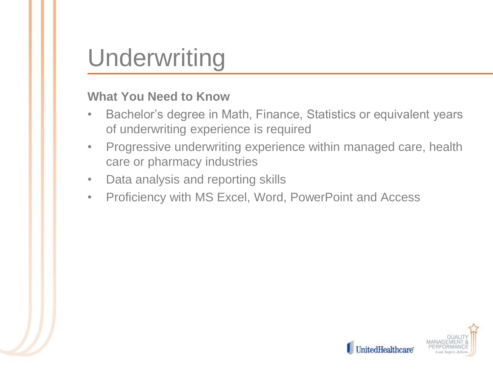### Underwriting

- Bachelor's degree in Math, Finance, Statistics or equivalent years of underwriting experience is required
- Progressive underwriting experience within managed care, health care or pharmacy industries
- Data analysis and reporting skills
- Proficiency with MS Excel, Word, PowerPoint and Access